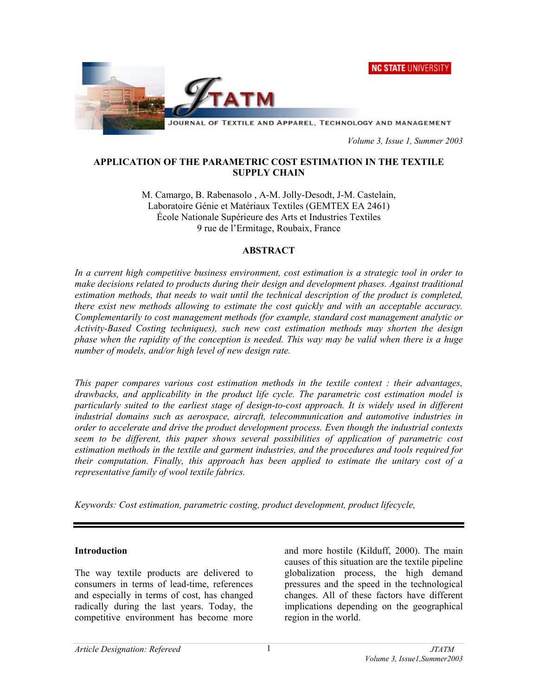**NC STATE UNIVERSITY** 



 *Volume 3, Issue 1, Summer 2003* 

#### **APPLICATION OF THE PARAMETRIC COST ESTIMATION IN THE TEXTILE SUPPLY CHAIN**

M. Camargo, B. Rabenasolo , A-M. Jolly-Desodt, J-M. Castelain, Laboratoire Génie et Matériaux Textiles (GEMTEX EA 2461) École Nationale Supérieure des Arts et Industries Textiles 9 rue de l'Ermitage, Roubaix, France

#### **ABSTRACT**

*In a current high competitive business environment, cost estimation is a strategic tool in order to make decisions related to products during their design and development phases. Against traditional estimation methods, that needs to wait until the technical description of the product is completed, there exist new methods allowing to estimate the cost quickly and with an acceptable accuracy. Complementarily to cost management methods (for example, standard cost management analytic or Activity-Based Costing techniques), such new cost estimation methods may shorten the design phase when the rapidity of the conception is needed. This way may be valid when there is a huge number of models, and/or high level of new design rate.* 

*This paper compares various cost estimation methods in the textile context : their advantages, drawbacks, and applicability in the product life cycle. The parametric cost estimation model is particularly suited to the earliest stage of design-to-cost approach. It is widely used in different industrial domains such as aerospace, aircraft, telecommunication and automotive industries in order to accelerate and drive the product development process. Even though the industrial contexts seem to be different, this paper shows several possibilities of application of parametric cost estimation methods in the textile and garment industries, and the procedures and tools required for their computation. Finally, this approach has been applied to estimate the unitary cost of a representative family of wool textile fabrics.* 

*Keywords: Cost estimation, parametric costing, product development, product lifecycle,* 

#### **Introduction**

The way textile products are delivered to consumers in terms of lead-time, references and especially in terms of cost, has changed radically during the last years. Today, the competitive environment has become more and more hostile (Kilduff, 2000). The main causes of this situation are the textile pipeline globalization process, the high demand pressures and the speed in the technological changes. All of these factors have different implications depending on the geographical region in the world.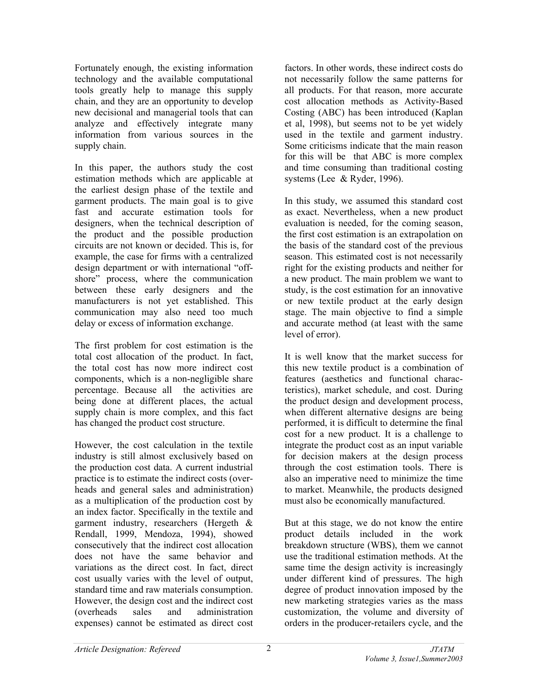Fortunately enough, the existing information technology and the available computational tools greatly help to manage this supply chain, and they are an opportunity to develop new decisional and managerial tools that can analyze and effectively integrate many information from various sources in the supply chain.

In this paper, the authors study the cost estimation methods which are applicable at the earliest design phase of the textile and garment products. The main goal is to give fast and accurate estimation tools for designers, when the technical description of the product and the possible production circuits are not known or decided. This is, for example, the case for firms with a centralized design department or with international "offshore" process, where the communication between these early designers and the manufacturers is not yet established. This communication may also need too much delay or excess of information exchange.

The first problem for cost estimation is the total cost allocation of the product. In fact, the total cost has now more indirect cost components, which is a non-negligible share percentage. Because all the activities are being done at different places, the actual supply chain is more complex, and this fact has changed the product cost structure.

However, the cost calculation in the textile industry is still almost exclusively based on the production cost data. A current industrial practice is to estimate the indirect costs (overheads and general sales and administration) as a multiplication of the production cost by an index factor. Specifically in the textile and garment industry, researchers (Hergeth & Rendall, 1999, Mendoza, 1994), showed consecutively that the indirect cost allocation does not have the same behavior and variations as the direct cost. In fact, direct cost usually varies with the level of output, standard time and raw materials consumption. However, the design cost and the indirect cost (overheads sales and administration expenses) cannot be estimated as direct cost

factors. In other words, these indirect costs do not necessarily follow the same patterns for all products. For that reason, more accurate cost allocation methods as Activity-Based Costing (ABC) has been introduced (Kaplan et al, 1998), but seems not to be yet widely used in the textile and garment industry. Some criticisms indicate that the main reason for this will be that ABC is more complex and time consuming than traditional costing systems (Lee & Ryder, 1996).

In this study, we assumed this standard cost as exact. Nevertheless, when a new product evaluation is needed, for the coming season, the first cost estimation is an extrapolation on the basis of the standard cost of the previous season. This estimated cost is not necessarily right for the existing products and neither for a new product. The main problem we want to study, is the cost estimation for an innovative or new textile product at the early design stage. The main objective to find a simple and accurate method (at least with the same level of error).

It is well know that the market success for this new textile product is a combination of features (aesthetics and functional characteristics), market schedule, and cost. During the product design and development process, when different alternative designs are being performed, it is difficult to determine the final cost for a new product. It is a challenge to integrate the product cost as an input variable for decision makers at the design process through the cost estimation tools. There is also an imperative need to minimize the time to market. Meanwhile, the products designed must also be economically manufactured.

But at this stage, we do not know the entire product details included in the work breakdown structure (WBS), them we cannot use the traditional estimation methods. At the same time the design activity is increasingly under different kind of pressures. The high degree of product innovation imposed by the new marketing strategies varies as the mass customization, the volume and diversity of orders in the producer-retailers cycle, and the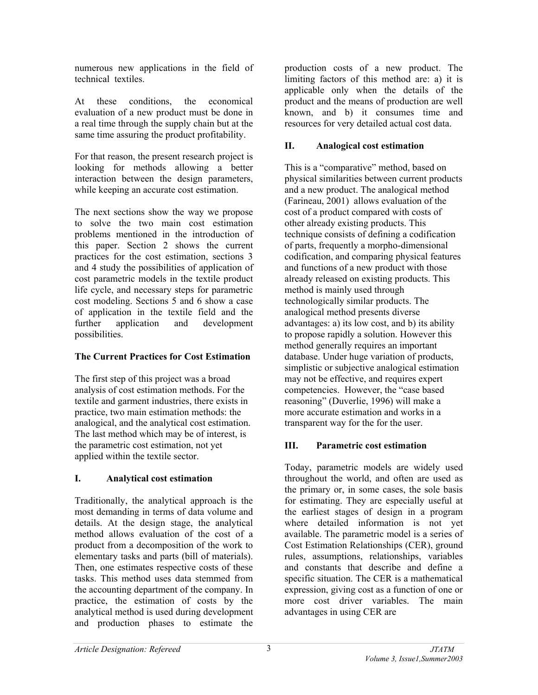numerous new applications in the field of technical textiles.

At these conditions, the economical evaluation of a new product must be done in a real time through the supply chain but at the same time assuring the product profitability.

For that reason, the present research project is looking for methods allowing a better interaction between the design parameters, while keeping an accurate cost estimation.

The next sections show the way we propose to solve the two main cost estimation problems mentioned in the introduction of this paper. Section 2 shows the current practices for the cost estimation, sections 3 and 4 study the possibilities of application of cost parametric models in the textile product life cycle, and necessary steps for parametric cost modeling. Sections 5 and 6 show a case of application in the textile field and the further application and development possibilities.

#### **The Current Practices for Cost Estimation**

The first step of this project was a broad analysis of cost estimation methods. For the textile and garment industries, there exists in practice, two main estimation methods: the analogical, and the analytical cost estimation. The last method which may be of interest, is the parametric cost estimation, not yet applied within the textile sector.

### **I. Analytical cost estimation**

Traditionally, the analytical approach is the most demanding in terms of data volume and details. At the design stage, the analytical method allows evaluation of the cost of a product from a decomposition of the work to elementary tasks and parts (bill of materials). Then, one estimates respective costs of these tasks. This method uses data stemmed from the accounting department of the company. In practice, the estimation of costs by the analytical method is used during development and production phases to estimate the

production costs of a new product. The limiting factors of this method are: a) it is applicable only when the details of the product and the means of production are well known, and b) it consumes time and resources for very detailed actual cost data.

### **II. Analogical cost estimation**

This is a "comparative" method, based on physical similarities between current products and a new product. The analogical method (Farineau, 2001) allows evaluation of the cost of a product compared with costs of other already existing products. This technique consists of defining a codification of parts, frequently a morpho-dimensional codification, and comparing physical features and functions of a new product with those already released on existing products. This method is mainly used through technologically similar products. The analogical method presents diverse advantages: a) its low cost, and b) its ability to propose rapidly a solution. However this method generally requires an important database. Under huge variation of products, simplistic or subjective analogical estimation may not be effective, and requires expert competencies. However, the "case based reasoning" (Duverlie, 1996) will make a more accurate estimation and works in a transparent way for the for the user.

### **III. Parametric cost estimation**

Today, parametric models are widely used throughout the world, and often are used as the primary or, in some cases, the sole basis for estimating. They are especially useful at the earliest stages of design in a program where detailed information is not yet available. The parametric model is a series of Cost Estimation Relationships (CER), ground rules, assumptions, relationships, variables and constants that describe and define a specific situation. The CER is a mathematical expression, giving cost as a function of one or more cost driver variables. The main advantages in using CER are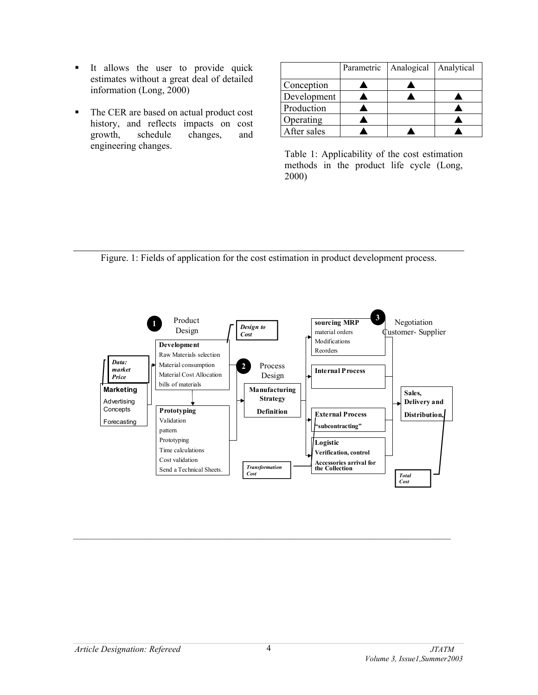- It allows the user to provide quick estimates without a great deal of detailed information (Long, 2000)
- The CER are based on actual product cost history, and reflects impacts on cost growth, schedule changes, and engineering changes.

|             | Parametric | Analogical | Analytical |
|-------------|------------|------------|------------|
| Conception  |            |            |            |
| Development |            |            |            |
| Production  |            |            |            |
| Operating   |            |            |            |
| After sales |            |            |            |

Table 1: Applicability of the cost estimation methods in the product life cycle (Long, 2000)

Figure. 1: Fields of application for the cost estimation in product development process.

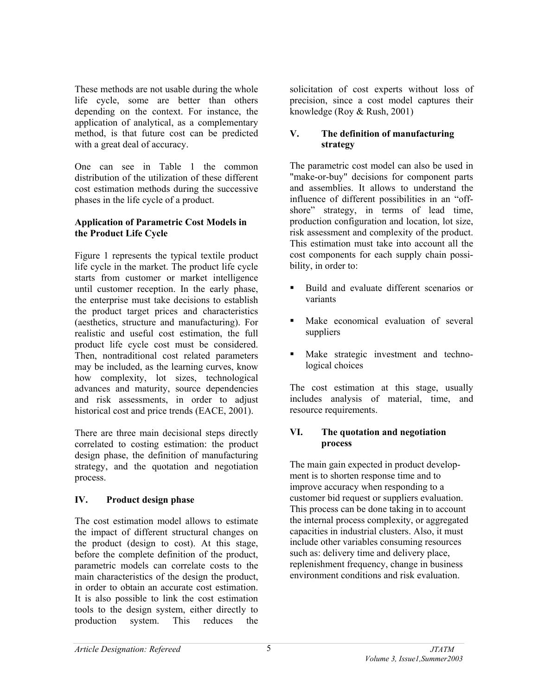These methods are not usable during the whole life cycle, some are better than others depending on the context. For instance, the application of analytical, as a complementary method, is that future cost can be predicted with a great deal of accuracy.

One can see in Table 1 the common distribution of the utilization of these different cost estimation methods during the successive phases in the life cycle of a product.

### **Application of Parametric Cost Models in the Product Life Cycle**

Figure 1 represents the typical textile product life cycle in the market. The product life cycle starts from customer or market intelligence until customer reception. In the early phase, the enterprise must take decisions to establish the product target prices and characteristics (aesthetics, structure and manufacturing). For realistic and useful cost estimation, the full product life cycle cost must be considered. Then, nontraditional cost related parameters may be included, as the learning curves, know how complexity, lot sizes, technological advances and maturity, source dependencies and risk assessments, in order to adjust historical cost and price trends (EACE, 2001).

There are three main decisional steps directly correlated to costing estimation: the product design phase, the definition of manufacturing strategy, and the quotation and negotiation process.

# **IV. Product design phase**

The cost estimation model allows to estimate the impact of different structural changes on the product (design to cost). At this stage, before the complete definition of the product, parametric models can correlate costs to the main characteristics of the design the product, in order to obtain an accurate cost estimation. It is also possible to link the cost estimation tools to the design system, either directly to production system. This reduces the

solicitation of cost experts without loss of precision, since a cost model captures their knowledge (Roy & Rush, 2001)

### **V. The definition of manufacturing strategy**

The parametric cost model can also be used in "make-or-buy" decisions for component parts and assemblies. It allows to understand the influence of different possibilities in an "offshore" strategy, in terms of lead time, production configuration and location, lot size, risk assessment and complexity of the product. This estimation must take into account all the cost components for each supply chain possibility, in order to:

- Build and evaluate different scenarios or variants
- Make economical evaluation of several suppliers
- Make strategic investment and technological choices

The cost estimation at this stage, usually includes analysis of material, time, and resource requirements.

#### **VI. The quotation and negotiation process**

The main gain expected in product development is to shorten response time and to improve accuracy when responding to a customer bid request or suppliers evaluation. This process can be done taking in to account the internal process complexity, or aggregated capacities in industrial clusters. Also, it must include other variables consuming resources such as: delivery time and delivery place, replenishment frequency, change in business environment conditions and risk evaluation.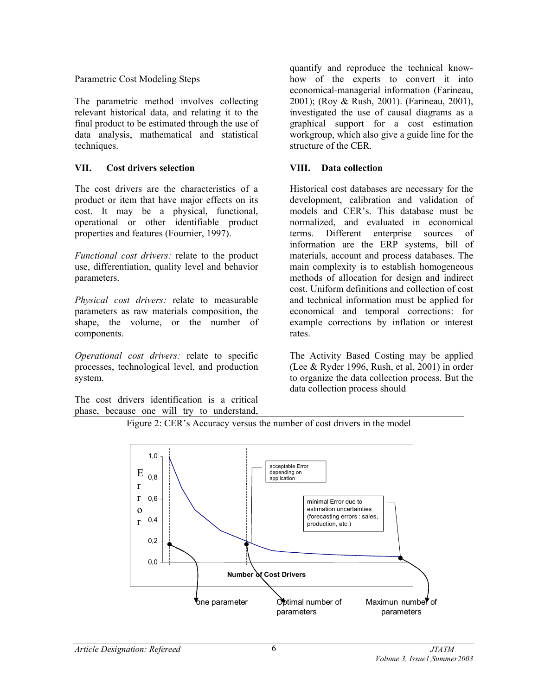#### Parametric Cost Modeling Steps

The parametric method involves collecting relevant historical data, and relating it to the final product to be estimated through the use of data analysis, mathematical and statistical techniques.

## **VII. Cost drivers selection**

The cost drivers are the characteristics of a product or item that have major effects on its cost. It may be a physical, functional, operational or other identifiable product properties and features (Fournier, 1997).

*Functional cost drivers:* relate to the product use, differentiation, quality level and behavior parameters.

*Physical cost drivers:* relate to measurable parameters as raw materials composition, the shape, the volume, or the number of components.

*Operational cost drivers:* relate to specific processes, technological level, and production system.

The cost drivers identification is a critical phase, because one will try to understand,

quantify and reproduce the technical knowhow of the experts to convert it into economical-managerial information (Farineau, 2001); (Roy & Rush, 2001). (Farineau, 2001), investigated the use of causal diagrams as a graphical support for a cost estimation workgroup, which also give a guide line for the structure of the CER.

## **VIII. Data collection**

Historical cost databases are necessary for the development, calibration and validation of models and CER's. This database must be normalized, and evaluated in economical terms. Different enterprise sources of information are the ERP systems, bill of materials, account and process databases. The main complexity is to establish homogeneous methods of allocation for design and indirect cost. Uniform definitions and collection of cost and technical information must be applied for economical and temporal corrections: for example corrections by inflation or interest rates.

The Activity Based Costing may be applied (Lee & Ryder 1996, Rush, et al, 2001) in order to organize the data collection process. But the data collection process should



Figure 2: CER's Accuracy versus the number of cost drivers in the model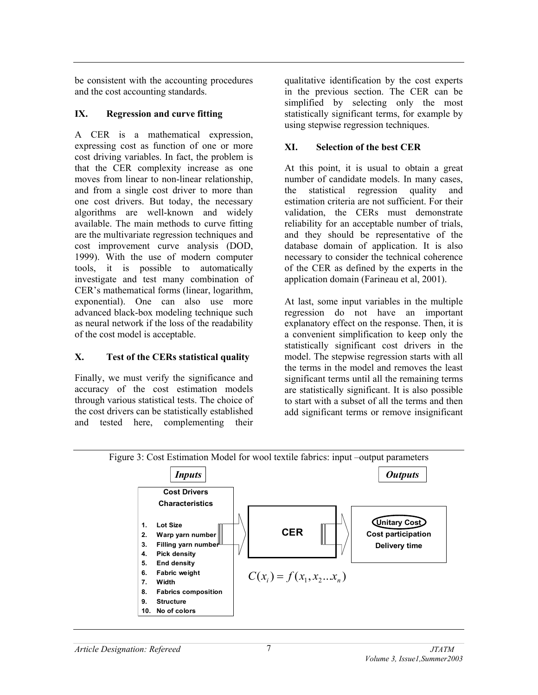be consistent with the accounting procedures and the cost accounting standards.

### **IX. Regression and curve fitting**

A CER is a mathematical expression, expressing cost as function of one or more cost driving variables. In fact, the problem is that the CER complexity increase as one moves from linear to non-linear relationship, and from a single cost driver to more than one cost drivers. But today, the necessary algorithms are well-known and widely available. The main methods to curve fitting are the multivariate regression techniques and cost improvement curve analysis (DOD, 1999). With the use of modern computer tools, it is possible to automatically investigate and test many combination of CER's mathematical forms (linear, logarithm, exponential). One can also use more advanced black-box modeling technique such as neural network if the loss of the readability of the cost model is acceptable.

# **X. Test of the CERs statistical quality**

Finally, we must verify the significance and accuracy of the cost estimation models through various statistical tests. The choice of the cost drivers can be statistically established and tested here, complementing their

qualitative identification by the cost experts in the previous section. The CER can be simplified by selecting only the most statistically significant terms, for example by using stepwise regression techniques.

## **XI. Selection of the best CER**

At this point, it is usual to obtain a great number of candidate models. In many cases, the statistical regression quality and estimation criteria are not sufficient. For their validation, the CERs must demonstrate reliability for an acceptable number of trials, and they should be representative of the database domain of application. It is also necessary to consider the technical coherence of the CER as defined by the experts in the application domain (Farineau et al, 2001).

At last, some input variables in the multiple regression do not have an important explanatory effect on the response. Then, it is a convenient simplification to keep only the statistically significant cost drivers in the model. The stepwise regression starts with all the terms in the model and removes the least significant terms until all the remaining terms are statistically significant. It is also possible to start with a subset of all the terms and then add significant terms or remove insignificant

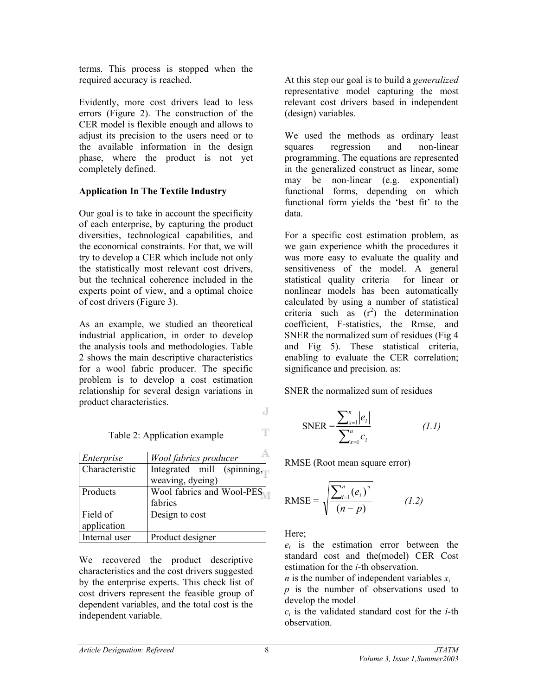terms. This process is stopped when the required accuracy is reached.

Evidently, more cost drivers lead to less errors (Figure 2). The construction of the CER model is flexible enough and allows to adjust its precision to the users need or to the available information in the design phase, where the product is not yet completely defined.

## **Application In The Textile Industry**

Our goal is to take in account the specificity of each enterprise, by capturing the product diversities, technological capabilities, and the economical constraints. For that, we will try to develop a CER which include not only the statistically most relevant cost drivers, but the technical coherence included in the experts point of view, and a optimal choice of cost drivers (Figure 3).

As an example, we studied an theoretical industrial application, in order to develop the analysis tools and methodologies. Table 2 shows the main descriptive characteristics for a wool fabric producer. The specific problem is to develop a cost estimation relationship for several design variations in product characteristics.

| Enterprise     | Wool fabrics producer      |
|----------------|----------------------------|
| Characteristic | Integrated mill (spinning, |
|                | weaving, dyeing)           |
| Products       | Wool fabrics and Wool-PES  |
|                | fabrics                    |
| Field of       | Design to cost             |
| application    |                            |
| Internal user  | Product designer           |

We recovered the product descriptive characteristics and the cost drivers suggested by the enterprise experts. This check list of cost drivers represent the feasible group of dependent variables, and the total cost is the independent variable.

At this step our goal is to build a *generalized*  representative model capturing the most relevant cost drivers based in independent (design) variables.

We used the methods as ordinary least squares regression and non-linear programming. The equations are represented in the generalized construct as linear, some may be non-linear (e.g. exponential) functional forms, depending on which functional form yields the 'best fit' to the data.

For a specific cost estimation problem, as we gain experience whith the procedures it was more easy to evaluate the quality and sensitiveness of the model. A general statistical quality criteria for linear or nonlinear models has been automatically calculated by using a number of statistical criteria such as  $(r^2)$  the determination coefficient, F-statistics, the Rmse, and SNER the normalized sum of residues (Fig 4 and Fig 5). These statistical criteria, enabling to evaluate the CER correlation; significance and precision. as:

SNER the normalized sum of residues

SNER = 
$$
\frac{\sum_{x=1}^{n} |e_i|}{\sum_{x=1}^{n} c_i}
$$
 (1.1)

RMSE (Root mean square error)

RMSE = 
$$
\sqrt{\frac{\sum_{i=1}^{n} (e_i)^2}{(n-p)}}
$$
 (1.2)

Here;

*ei* is the estimation error between the standard cost and the(model) CER Cost estimation for the *i*-th observation.

*n* is the number of independent variables *xi p* is the number of observations used to develop the model

*ci* is the validated standard cost for the *i*-th observation.

J

T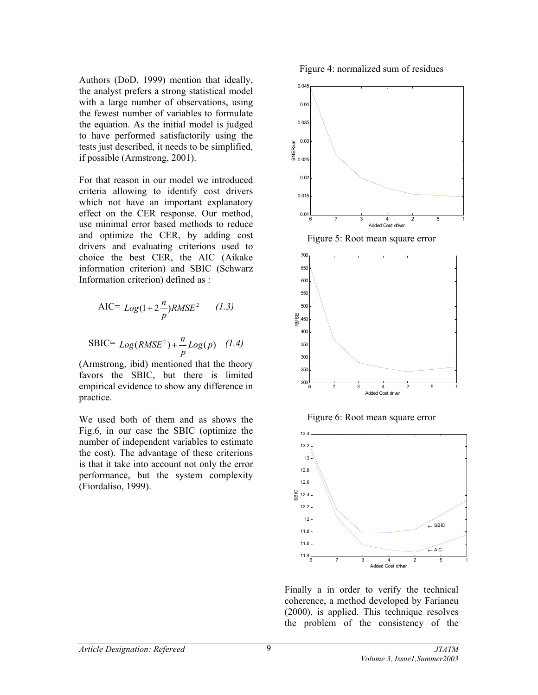Authors (DoD, 1999) mention that ideally, the analyst prefers a strong statistical model with a large number of observations, using the fewest number of variables to formulate the equation. As the initial model is judged to have performed satisfactorily using the tests just described, it needs to be simplified, if possible (Armstrong, 2001).

For that reason in our model we introduced criteria allowing to identify cost drivers which not have an important explanatory effect on the CER response. Our method, use minimal error based methods to reduce and optimize the CER, by adding cost drivers and evaluating criterions used to choice the best CER, the AIC (Aikake information criterion) and SBIC (Schwarz Information criterion) defined as :

AIC= 
$$
Log(1+2\frac{n}{p})RMSE^2
$$
 (1.3)  
SBIC=  $Log(RMSE^2) + \frac{n}{p}Log(p)$  (1.4)

(Armstrong, ibid) mentioned that the theory favors the SBIC, but there is limited empirical evidence to show any difference in practice.

We used both of them and as shows the Fig.6, in our case the SBIC (optimize the number of independent variables to estimate the cost). The advantage of these criterions is that it take into account not only the error performance, but the system complexity (Fiordaliso, 1999).

Figure 4: normalized sum of residues







Figure 6: Root mean square error



Finally a in order to verify the technical coherence, a method developed by Farianeu (2000), is applied. This technique resolves the problem of the consistency of the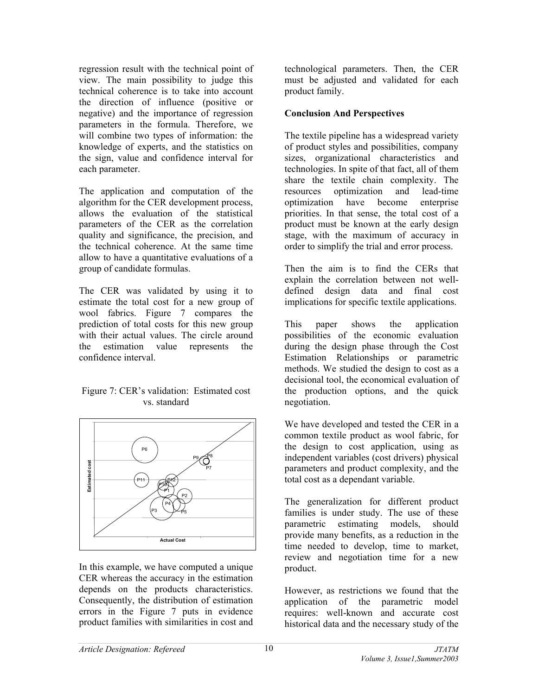regression result with the technical point of view. The main possibility to judge this technical coherence is to take into account the direction of influence (positive or negative) and the importance of regression parameters in the formula. Therefore, we will combine two types of information: the knowledge of experts, and the statistics on the sign, value and confidence interval for each parameter.

The application and computation of the algorithm for the CER development process, allows the evaluation of the statistical parameters of the CER as the correlation quality and significance, the precision, and the technical coherence. At the same time allow to have a quantitative evaluations of a group of candidate formulas.

The CER was validated by using it to estimate the total cost for a new group of wool fabrics. Figure 7 compares the prediction of total costs for this new group with their actual values. The circle around the estimation value represents the confidence interval.

#### Figure 7: CER's validation: Estimated cost vs. standard



In this example, we have computed a unique CER whereas the accuracy in the estimation depends on the products characteristics. Consequently, the distribution of estimation errors in the Figure 7 puts in evidence product families with similarities in cost and

technological parameters. Then, the CER must be adjusted and validated for each product family.

### **Conclusion And Perspectives**

The textile pipeline has a widespread variety of product styles and possibilities, company sizes, organizational characteristics and technologies. In spite of that fact, all of them share the textile chain complexity. The resources optimization and lead-time optimization have become enterprise priorities. In that sense, the total cost of a product must be known at the early design stage, with the maximum of accuracy in order to simplify the trial and error process.

Then the aim is to find the CERs that explain the correlation between not welldefined design data and final cost implications for specific textile applications.

This paper shows the application possibilities of the economic evaluation during the design phase through the Cost Estimation Relationships or parametric methods. We studied the design to cost as a decisional tool, the economical evaluation of the production options, and the quick negotiation.

We have developed and tested the CER in a common textile product as wool fabric, for the design to cost application, using as independent variables (cost drivers) physical parameters and product complexity, and the total cost as a dependant variable.

The generalization for different product families is under study. The use of these parametric estimating models, should provide many benefits, as a reduction in the time needed to develop, time to market, review and negotiation time for a new product.

However, as restrictions we found that the application of the parametric model requires: well-known and accurate cost historical data and the necessary study of the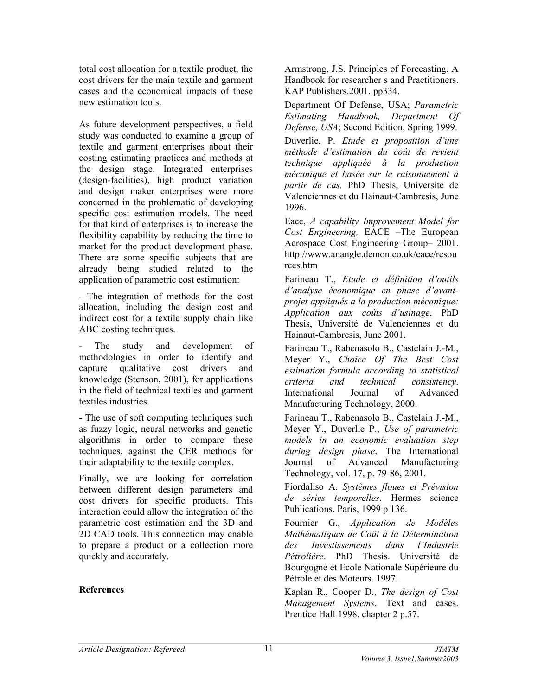total cost allocation for a textile product, the cost drivers for the main textile and garment cases and the economical impacts of these new estimation tools.

As future development perspectives, a field study was conducted to examine a group of textile and garment enterprises about their costing estimating practices and methods at the design stage. Integrated enterprises (design-facilities), high product variation and design maker enterprises were more concerned in the problematic of developing specific cost estimation models. The need for that kind of enterprises is to increase the flexibility capability by reducing the time to market for the product development phase. There are some specific subjects that are already being studied related to the application of parametric cost estimation:

- The integration of methods for the cost allocation, including the design cost and indirect cost for a textile supply chain like ABC costing techniques.

- The study and development of methodologies in order to identify and capture qualitative cost drivers and knowledge (Stenson, 2001), for applications in the field of technical textiles and garment textiles industries.

- The use of soft computing techniques such as fuzzy logic, neural networks and genetic algorithms in order to compare these techniques, against the CER methods for their adaptability to the textile complex.

Finally, we are looking for correlation between different design parameters and cost drivers for specific products. This interaction could allow the integration of the parametric cost estimation and the 3D and 2D CAD tools. This connection may enable to prepare a product or a collection more quickly and accurately.

#### **References**

Armstrong, J.S. Principles of Forecasting. A Handbook for researcher s and Practitioners. KAP Publishers.2001. pp334.

Department Of Defense, USA; *Parametric Estimating Handbook, Department Of Defense, USA*; Second Edition, Spring 1999.

Duverlie, P. *Etude et proposition d'une méthode d'estimation du coût de revient technique appliquée à la production mécanique et basée sur le raisonnement à partir de cas.* PhD Thesis, Université de Valenciennes et du Hainaut-Cambresis, June 1996.

Eace, *A capability Improvement Model for Cost Engineering,* EACE –The European Aerospace Cost Engineering Group– 2001. <http://www.anangle.demon.co.uk/eace/resou> rces.htm

Farineau T., *Etude et définition d'outils d'analyse économique en phase d'avantprojet appliqués a la production mécanique: Application aux coûts d'usinage*. PhD Thesis, Université de Valenciennes et du Hainaut-Cambresis, June 2001.

Farineau T., Rabenasolo B., Castelain J.-M., Meyer Y., *Choice Of The Best Cost estimation formula according to statistical criteria and technical consistency*. International Journal of Advanced Manufacturing Technology, 2000.

Farineau T., Rabenasolo B., Castelain J.-M., Meyer Y., Duverlie P., *Use of parametric models in an economic evaluation step during design phase*, The International Journal of Advanced Manufacturing Technology, vol. 17, p. 79-86, 2001.

Fiordaliso A. *Systèmes floues et Prévision de séries temporelles*. Hermes science Publications. Paris, 1999 p 136.

Fournier G., *Application de Modèles Mathématiques de Coût à la Détermination des Investissements dans l'Industrie Pétrolière*. PhD Thesis. Université de Bourgogne et Ecole Nationale Supérieure du Pétrole et des Moteurs. 1997.

Kaplan R., Cooper D., *The design of Cost Management Systems*. Text and cases. Prentice Hall 1998. chapter 2 p.57.